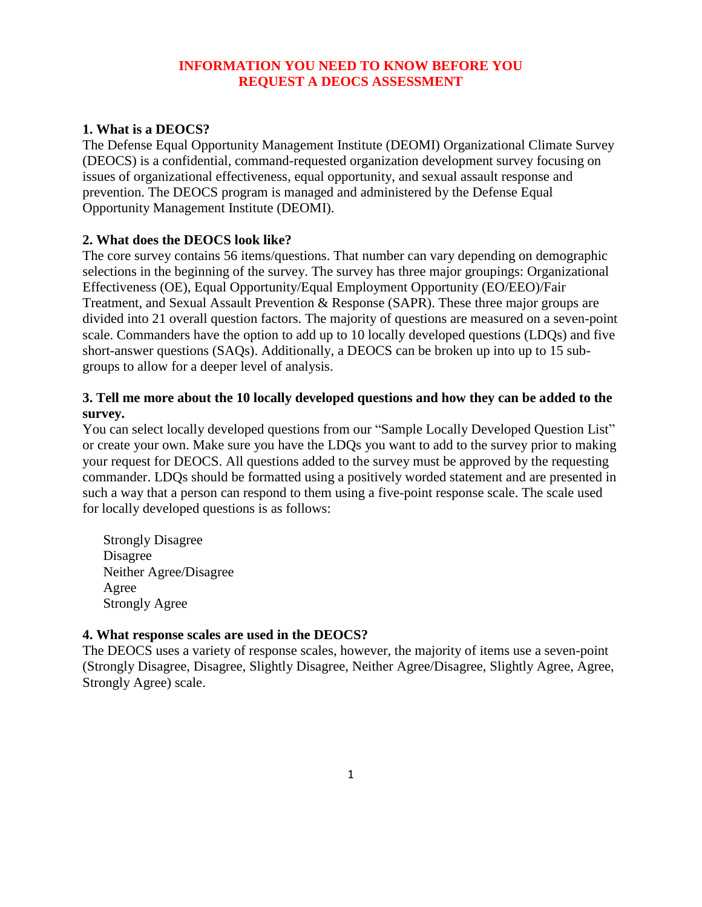## **INFORMATION YOU NEED TO KNOW BEFORE YOU REQUEST A DEOCS ASSESSMENT**

# **1. What is a DEOCS?**

The Defense Equal Opportunity Management Institute (DEOMI) Organizational Climate Survey (DEOCS) is a confidential, command-requested organization development survey focusing on issues of organizational effectiveness, equal opportunity, and sexual assault response and prevention. The DEOCS program is managed and administered by the Defense Equal Opportunity Management Institute (DEOMI).

## **2. What does the DEOCS look like?**

The core survey contains 56 items/questions. That number can vary depending on demographic selections in the beginning of the survey. The survey has three major groupings: Organizational Effectiveness (OE), Equal Opportunity/Equal Employment Opportunity (EO/EEO)/Fair Treatment, and Sexual Assault Prevention & Response (SAPR). These three major groups are divided into 21 overall question factors. The majority of questions are measured on a seven-point scale. Commanders have the option to add up to 10 locally developed questions (LDQs) and five short-answer questions (SAQs). Additionally, a DEOCS can be broken up into up to 15 subgroups to allow for a deeper level of analysis.

## **3. Tell me more about the 10 locally developed questions and how they can be added to the survey.**

You can select locally developed questions from our "Sample Locally Developed Question List" or create your own. Make sure you have the LDQs you want to add to the survey prior to making your request for DEOCS. All questions added to the survey must be approved by the requesting commander. LDQs should be formatted using a positively worded statement and are presented in such a way that a person can respond to them using a five-point response scale. The scale used for locally developed questions is as follows:

Strongly Disagree Disagree Neither Agree/Disagree Agree Strongly Agree

## **4. What response scales are used in the DEOCS?**

The DEOCS uses a variety of response scales, however, the majority of items use a seven-point (Strongly Disagree, Disagree, Slightly Disagree, Neither Agree/Disagree, Slightly Agree, Agree, Strongly Agree) scale.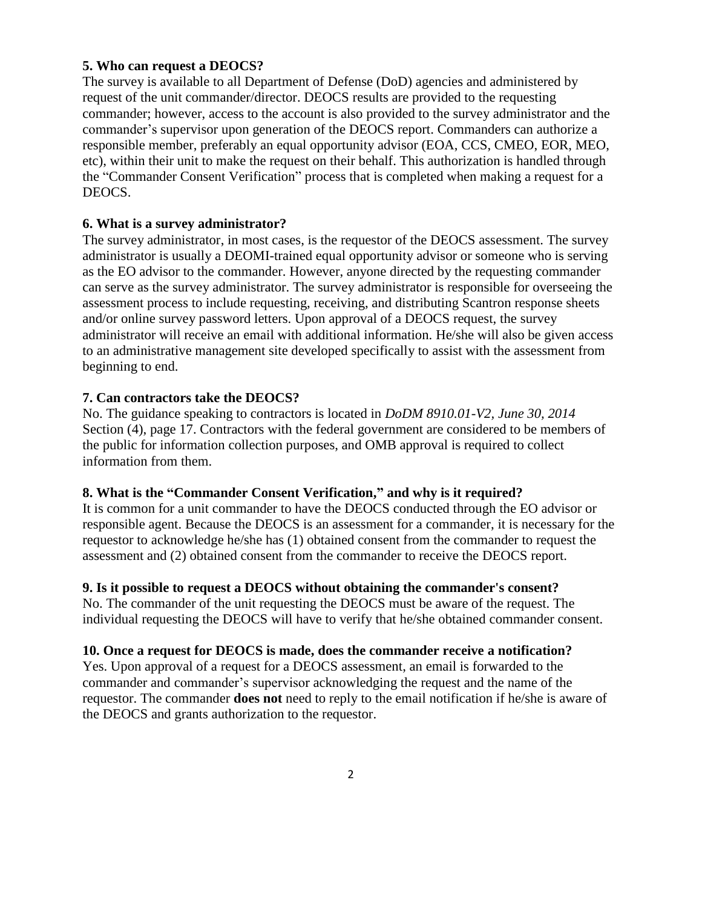### **5. Who can request a DEOCS?**

The survey is available to all Department of Defense (DoD) agencies and administered by request of the unit commander/director. DEOCS results are provided to the requesting commander; however, access to the account is also provided to the survey administrator and the commander's supervisor upon generation of the DEOCS report. Commanders can authorize a responsible member, preferably an equal opportunity advisor (EOA, CCS, CMEO, EOR, MEO, etc), within their unit to make the request on their behalf. This authorization is handled through the "Commander Consent Verification" process that is completed when making a request for a DEOCS.

### **6. What is a survey administrator?**

The survey administrator, in most cases, is the requestor of the DEOCS assessment. The survey administrator is usually a DEOMI-trained equal opportunity advisor or someone who is serving as the EO advisor to the commander. However, anyone directed by the requesting commander can serve as the survey administrator. The survey administrator is responsible for overseeing the assessment process to include requesting, receiving, and distributing Scantron response sheets and/or online survey password letters. Upon approval of a DEOCS request, the survey administrator will receive an email with additional information. He/she will also be given access to an administrative management site developed specifically to assist with the assessment from beginning to end.

### **7. Can contractors take the DEOCS?**

No. The guidance speaking to contractors is located in *DoDM 8910.01-V2, June 30, 2014* Section (4), page 17. Contractors with the federal government are considered to be members of the public for information collection purposes, and OMB approval is required to collect information from them.

### **8. What is the "Commander Consent Verification," and why is it required?**

It is common for a unit commander to have the DEOCS conducted through the EO advisor or responsible agent. Because the DEOCS is an assessment for a commander, it is necessary for the requestor to acknowledge he/she has (1) obtained consent from the commander to request the assessment and (2) obtained consent from the commander to receive the DEOCS report.

### **9. Is it possible to request a DEOCS without obtaining the commander's consent?**

No. The commander of the unit requesting the DEOCS must be aware of the request. The individual requesting the DEOCS will have to verify that he/she obtained commander consent.

### **10. Once a request for DEOCS is made, does the commander receive a notification?**

Yes. Upon approval of a request for a DEOCS assessment, an email is forwarded to the commander and commander's supervisor acknowledging the request and the name of the requestor. The commander **does not** need to reply to the email notification if he/she is aware of the DEOCS and grants authorization to the requestor.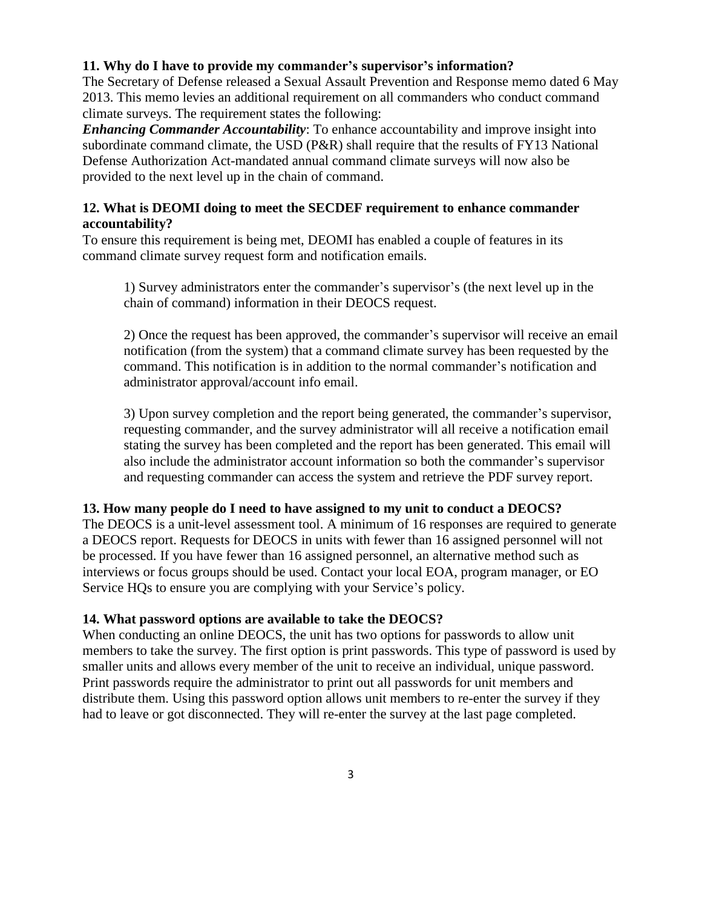## **11. Why do I have to provide my commander's supervisor's information?**

The Secretary of Defense released a Sexual Assault Prevention and Response memo dated 6 May 2013. This memo levies an additional requirement on all commanders who conduct command climate surveys. The requirement states the following:

*Enhancing Commander Accountability*: To enhance accountability and improve insight into subordinate command climate, the USD (P&R) shall require that the results of FY13 National Defense Authorization Act-mandated annual command climate surveys will now also be provided to the next level up in the chain of command.

## **12. What is DEOMI doing to meet the SECDEF requirement to enhance commander accountability?**

To ensure this requirement is being met, DEOMI has enabled a couple of features in its command climate survey request form and notification emails.

1) Survey administrators enter the commander's supervisor's (the next level up in the chain of command) information in their DEOCS request.

2) Once the request has been approved, the commander's supervisor will receive an email notification (from the system) that a command climate survey has been requested by the command. This notification is in addition to the normal commander's notification and administrator approval/account info email.

3) Upon survey completion and the report being generated, the commander's supervisor, requesting commander, and the survey administrator will all receive a notification email stating the survey has been completed and the report has been generated. This email will also include the administrator account information so both the commander's supervisor and requesting commander can access the system and retrieve the PDF survey report.

# **13. How many people do I need to have assigned to my unit to conduct a DEOCS?**

The DEOCS is a unit-level assessment tool. A minimum of 16 responses are required to generate a DEOCS report. Requests for DEOCS in units with fewer than 16 assigned personnel will not be processed. If you have fewer than 16 assigned personnel, an alternative method such as interviews or focus groups should be used. Contact your local EOA, program manager, or EO Service HQs to ensure you are complying with your Service's policy.

# **14. What password options are available to take the DEOCS?**

When conducting an online DEOCS, the unit has two options for passwords to allow unit members to take the survey. The first option is print passwords. This type of password is used by smaller units and allows every member of the unit to receive an individual, unique password. Print passwords require the administrator to print out all passwords for unit members and distribute them. Using this password option allows unit members to re-enter the survey if they had to leave or got disconnected. They will re-enter the survey at the last page completed.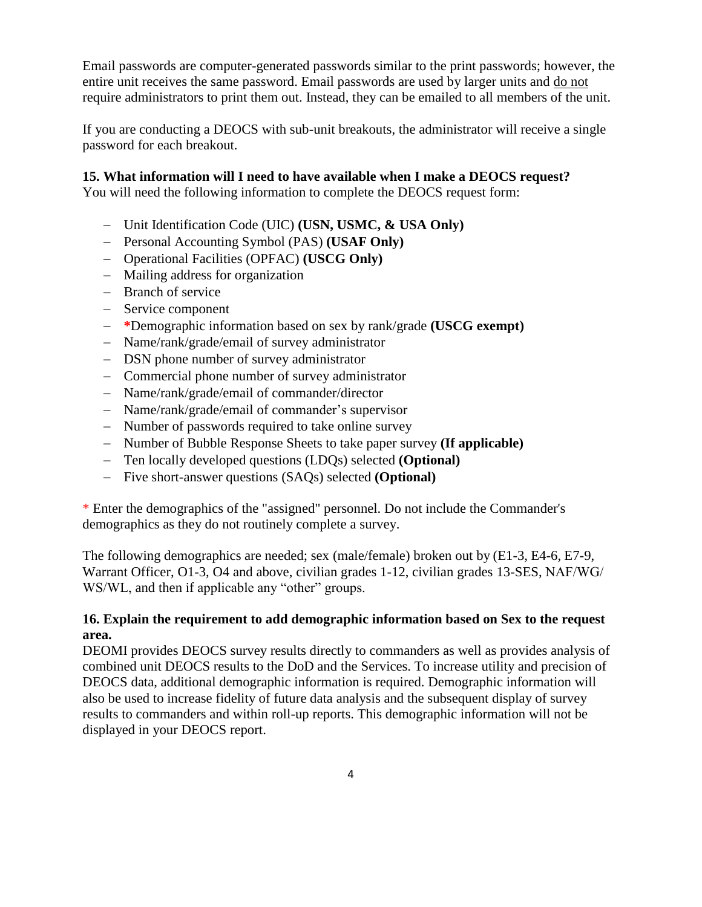Email passwords are computer-generated passwords similar to the print passwords; however, the entire unit receives the same password. Email passwords are used by larger units and do not require administrators to print them out. Instead, they can be emailed to all members of the unit.

If you are conducting a DEOCS with sub-unit breakouts, the administrator will receive a single password for each breakout.

## **15. What information will I need to have available when I make a DEOCS request?**

You will need the following information to complete the DEOCS request form:

- − Unit Identification Code (UIC) **(USN, USMC, & USA Only)**
- − Personal Accounting Symbol (PAS) **(USAF Only)**
- − Operational Facilities (OPFAC) **(USCG Only)**
- − Mailing address for organization
- − Branch of service
- − Service component
- − **\***Demographic information based on sex by rank/grade **(USCG exempt)**
- − Name/rank/grade/email of survey administrator
- − DSN phone number of survey administrator
- − Commercial phone number of survey administrator
- − Name/rank/grade/email of commander/director
- − Name/rank/grade/email of commander's supervisor
- − Number of passwords required to take online survey
- − Number of Bubble Response Sheets to take paper survey **(If applicable)**
- − Ten locally developed questions (LDQs) selected **(Optional)**
- − Five short-answer questions (SAQs) selected **(Optional)**

\* Enter the demographics of the "assigned" personnel. Do not include the Commander's demographics as they do not routinely complete a survey.

The following demographics are needed; sex (male/female) broken out by (E1-3, E4-6, E7-9, Warrant Officer, O1-3, O4 and above, civilian grades 1-12, civilian grades 13-SES, NAF/WG/ WS/WL, and then if applicable any "other" groups.

## **16. Explain the requirement to add demographic information based on Sex to the request area.**

DEOMI provides DEOCS survey results directly to commanders as well as provides analysis of combined unit DEOCS results to the DoD and the Services. To increase utility and precision of DEOCS data, additional demographic information is required. Demographic information will also be used to increase fidelity of future data analysis and the subsequent display of survey results to commanders and within roll-up reports. This demographic information will not be displayed in your DEOCS report.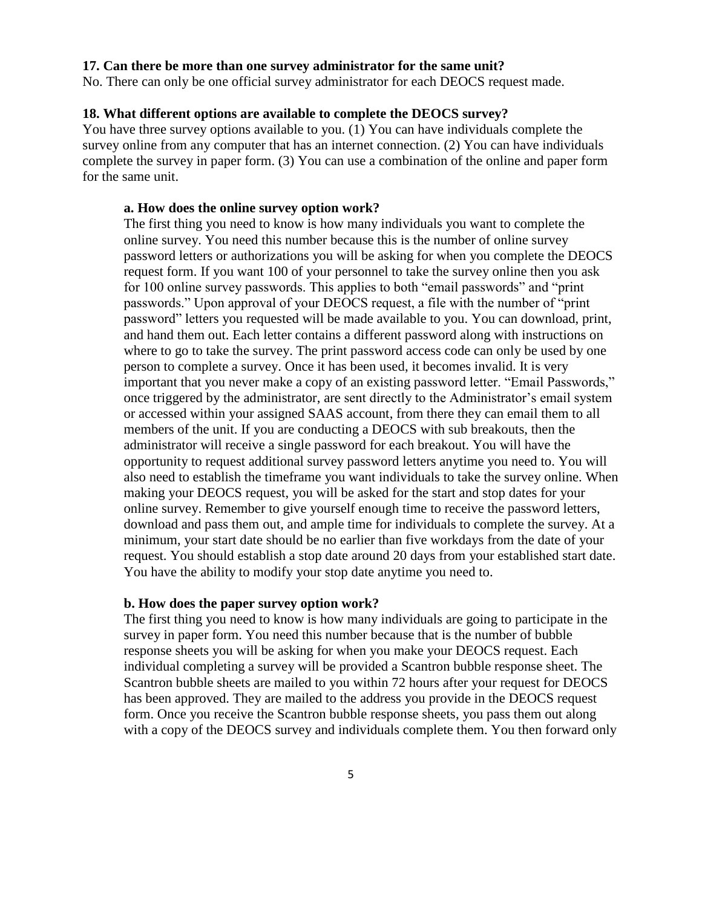#### **17. Can there be more than one survey administrator for the same unit?**

No. There can only be one official survey administrator for each DEOCS request made.

#### **18. What different options are available to complete the DEOCS survey?**

You have three survey options available to you. (1) You can have individuals complete the survey online from any computer that has an internet connection. (2) You can have individuals complete the survey in paper form. (3) You can use a combination of the online and paper form for the same unit.

#### **a. How does the online survey option work?**

The first thing you need to know is how many individuals you want to complete the online survey. You need this number because this is the number of online survey password letters or authorizations you will be asking for when you complete the DEOCS request form. If you want 100 of your personnel to take the survey online then you ask for 100 online survey passwords. This applies to both "email passwords" and "print passwords." Upon approval of your DEOCS request, a file with the number of "print password" letters you requested will be made available to you. You can download, print, and hand them out. Each letter contains a different password along with instructions on where to go to take the survey. The print password access code can only be used by one person to complete a survey. Once it has been used, it becomes invalid. It is very important that you never make a copy of an existing password letter. "Email Passwords," once triggered by the administrator, are sent directly to the Administrator's email system or accessed within your assigned SAAS account, from there they can email them to all members of the unit. If you are conducting a DEOCS with sub breakouts, then the administrator will receive a single password for each breakout. You will have the opportunity to request additional survey password letters anytime you need to. You will also need to establish the timeframe you want individuals to take the survey online. When making your DEOCS request, you will be asked for the start and stop dates for your online survey. Remember to give yourself enough time to receive the password letters, download and pass them out, and ample time for individuals to complete the survey. At a minimum, your start date should be no earlier than five workdays from the date of your request. You should establish a stop date around 20 days from your established start date. You have the ability to modify your stop date anytime you need to.

#### **b. How does the paper survey option work?**

The first thing you need to know is how many individuals are going to participate in the survey in paper form. You need this number because that is the number of bubble response sheets you will be asking for when you make your DEOCS request. Each individual completing a survey will be provided a Scantron bubble response sheet. The Scantron bubble sheets are mailed to you within 72 hours after your request for DEOCS has been approved. They are mailed to the address you provide in the DEOCS request form. Once you receive the Scantron bubble response sheets, you pass them out along with a copy of the DEOCS survey and individuals complete them. You then forward only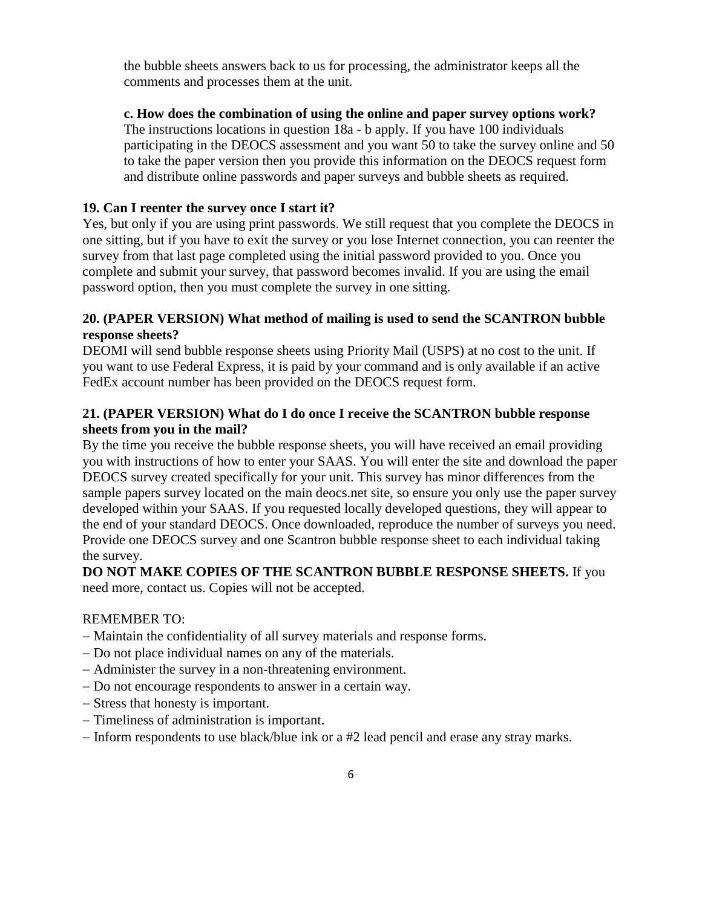the bubble sheets answers back to us for processing, the administrator keeps all the comments and processes them at the unit.

## **c. How does the combination of using the online and paper survey options work?**

The instructions locations in question 18a - b apply. If you have 100 individuals participating in the DEOCS assessment and you want 50 to take the survey online and 50 to take the paper version then you provide this information on the DEOCS request form and distribute online passwords and paper surveys and bubble sheets as required.

## **19. Can I reenter the survey once I start it?**

Yes, but only if you are using print passwords. We still request that you complete the DEOCS in one sitting, but if you have to exit the survey or you lose Internet connection, you can reenter the survey from that last page completed using the initial password provided to you. Once you complete and submit your survey, that password becomes invalid. If you are using the email password option, then you must complete the survey in one sitting.

## **20. (PAPER VERSION) What method of mailing is used to send the SCANTRON bubble response sheets?**

DEOMI will send bubble response sheets using Priority Mail (USPS) at no cost to the unit. If you want to use Federal Express, it is paid by your command and is only available if an active FedEx account number has been provided on the DEOCS request form.

## **21. (PAPER VERSION) What do I do once I receive the SCANTRON bubble response sheets from you in the mail?**

By the time you receive the bubble response sheets, you will have received an email providing you with instructions of how to enter your SAAS. You will enter the site and download the paper DEOCS survey created specifically for your unit. This survey has minor differences from the sample papers survey located on the main deocs.net site, so ensure you only use the paper survey developed within your SAAS. If you requested locally developed questions, they will appear to the end of your standard DEOCS. Once downloaded, reproduce the number of surveys you need. Provide one DEOCS survey and one Scantron bubble response sheet to each individual taking the survey.

## **DO NOT MAKE COPIES OF THE SCANTRON BUBBLE RESPONSE SHEETS.** If you need more, contact us. Copies will not be accepted.

## REMEMBER TO:

- − Maintain the confidentiality of all survey materials and response forms.
- − Do not place individual names on any of the materials.
- − Administer the survey in a non-threatening environment.
- − Do not encourage respondents to answer in a certain way.
- − Stress that honesty is important.
- − Timeliness of administration is important.
- − Inform respondents to use black/blue ink or a #2 lead pencil and erase any stray marks.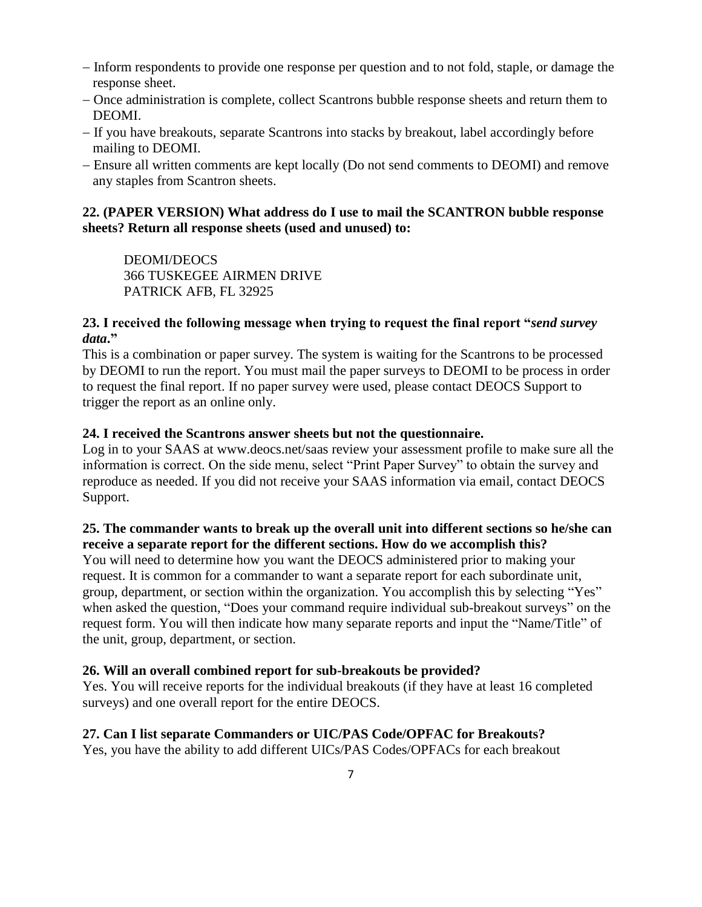- − Inform respondents to provide one response per question and to not fold, staple, or damage the response sheet.
- − Once administration is complete, collect Scantrons bubble response sheets and return them to DEOMI.
- − If you have breakouts, separate Scantrons into stacks by breakout, label accordingly before mailing to DEOMI.
- − Ensure all written comments are kept locally (Do not send comments to DEOMI) and remove any staples from Scantron sheets.

## **22. (PAPER VERSION) What address do I use to mail the SCANTRON bubble response sheets? Return all response sheets (used and unused) to:**

DEOMI/DEOCS 366 TUSKEGEE AIRMEN DRIVE PATRICK AFB, FL 32925

## **23. I received the following message when trying to request the final report "***send survey data***."**

This is a combination or paper survey. The system is waiting for the Scantrons to be processed by DEOMI to run the report. You must mail the paper surveys to DEOMI to be process in order to request the final report. If no paper survey were used, please contact DEOCS Support to trigger the report as an online only.

# **24. I received the Scantrons answer sheets but not the questionnaire.**

Log in to your SAAS at www.deocs.net/saas review your assessment profile to make sure all the information is correct. On the side menu, select "Print Paper Survey" to obtain the survey and reproduce as needed. If you did not receive your SAAS information via email, contact DEOCS Support.

# **25. The commander wants to break up the overall unit into different sections so he/she can receive a separate report for the different sections. How do we accomplish this?**

You will need to determine how you want the DEOCS administered prior to making your request. It is common for a commander to want a separate report for each subordinate unit, group, department, or section within the organization. You accomplish this by selecting "Yes" when asked the question, "Does your command require individual sub-breakout surveys" on the request form. You will then indicate how many separate reports and input the "Name/Title" of the unit, group, department, or section.

# **26. Will an overall combined report for sub-breakouts be provided?**

Yes. You will receive reports for the individual breakouts (if they have at least 16 completed surveys) and one overall report for the entire DEOCS.

# **27. Can I list separate Commanders or UIC/PAS Code/OPFAC for Breakouts?**

Yes, you have the ability to add different UICs/PAS Codes/OPFACs for each breakout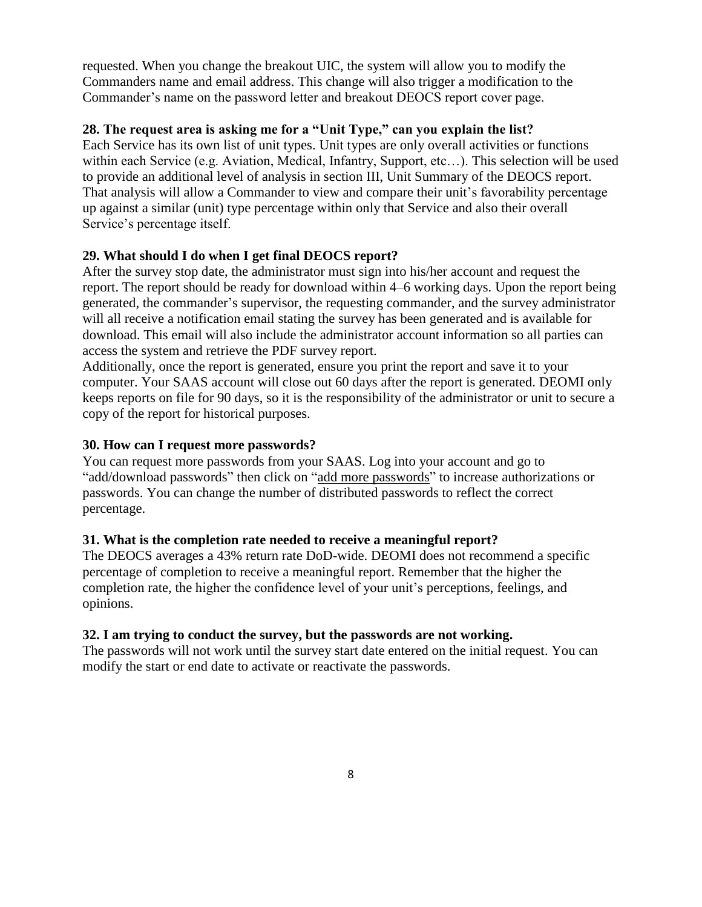requested. When you change the breakout UIC, the system will allow you to modify the Commanders name and email address. This change will also trigger a modification to the Commander's name on the password letter and breakout DEOCS report cover page.

### **28. The request area is asking me for a "Unit Type," can you explain the list?**

Each Service has its own list of unit types. Unit types are only overall activities or functions within each Service (e.g. Aviation, Medical, Infantry, Support, etc…). This selection will be used to provide an additional level of analysis in section III, Unit Summary of the DEOCS report. That analysis will allow a Commander to view and compare their unit's favorability percentage up against a similar (unit) type percentage within only that Service and also their overall Service's percentage itself.

### **29. What should I do when I get final DEOCS report?**

After the survey stop date, the administrator must sign into his/her account and request the report. The report should be ready for download within 4–6 working days. Upon the report being generated, the commander's supervisor, the requesting commander, and the survey administrator will all receive a notification email stating the survey has been generated and is available for download. This email will also include the administrator account information so all parties can access the system and retrieve the PDF survey report.

Additionally, once the report is generated, ensure you print the report and save it to your computer. Your SAAS account will close out 60 days after the report is generated. DEOMI only keeps reports on file for 90 days, so it is the responsibility of the administrator or unit to secure a copy of the report for historical purposes.

### **30. How can I request more passwords?**

You can request more passwords from your SAAS. Log into your account and go to "add/download passwords" then click on "add more passwords" to increase authorizations or passwords. You can change the number of distributed passwords to reflect the correct percentage.

### **31. What is the completion rate needed to receive a meaningful report?**

The DEOCS averages a 43% return rate DoD-wide. DEOMI does not recommend a specific percentage of completion to receive a meaningful report. Remember that the higher the completion rate, the higher the confidence level of your unit's perceptions, feelings, and opinions.

### **32. I am trying to conduct the survey, but the passwords are not working.**

The passwords will not work until the survey start date entered on the initial request. You can modify the start or end date to activate or reactivate the passwords.